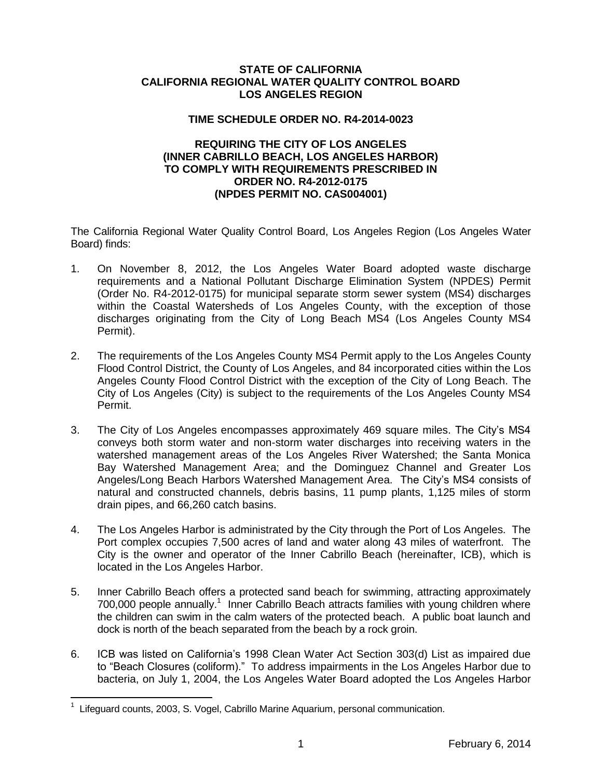## **STATE OF CALIFORNIA CALIFORNIA REGIONAL WATER QUALITY CONTROL BOARD LOS ANGELES REGION**

## **TIME SCHEDULE ORDER NO. R4-2014-0023**

## **REQUIRING THE CITY OF LOS ANGELES (INNER CABRILLO BEACH, LOS ANGELES HARBOR) TO COMPLY WITH REQUIREMENTS PRESCRIBED IN ORDER NO. R4-2012-0175 (NPDES PERMIT NO. CAS004001)**

The California Regional Water Quality Control Board, Los Angeles Region (Los Angeles Water Board) finds:

- 1. On November 8, 2012, the Los Angeles Water Board adopted waste discharge requirements and a National Pollutant Discharge Elimination System (NPDES) Permit (Order No. R4-2012-0175) for municipal separate storm sewer system (MS4) discharges within the Coastal Watersheds of Los Angeles County, with the exception of those discharges originating from the City of Long Beach MS4 (Los Angeles County MS4 Permit).
- 2. The requirements of the Los Angeles County MS4 Permit apply to the Los Angeles County Flood Control District, the County of Los Angeles, and 84 incorporated cities within the Los Angeles County Flood Control District with the exception of the City of Long Beach. The City of Los Angeles (City) is subject to the requirements of the Los Angeles County MS4 Permit.
- 3. The City of Los Angeles encompasses approximately 469 square miles. The City's MS4 conveys both storm water and non-storm water discharges into receiving waters in the watershed management areas of the Los Angeles River Watershed; the Santa Monica Bay Watershed Management Area; and the Dominguez Channel and Greater Los Angeles/Long Beach Harbors Watershed Management Area. The City's MS4 consists of natural and constructed channels, debris basins, 11 pump plants, 1,125 miles of storm drain pipes, and 66,260 catch basins.
- 4. The Los Angeles Harbor is administrated by the City through the Port of Los Angeles. The Port complex occupies 7,500 acres of land and water along 43 miles of waterfront. The City is the owner and operator of the Inner Cabrillo Beach (hereinafter, ICB), which is located in the Los Angeles Harbor.
- 5. Inner Cabrillo Beach offers a protected sand beach for swimming, attracting approximately 700,000 people annually.<sup>1</sup> Inner Cabrillo Beach attracts families with young children where the children can swim in the calm waters of the protected beach. A public boat launch and dock is north of the beach separated from the beach by a rock groin.
- 6. ICB was listed on California's 1998 Clean Water Act Section 303(d) List as impaired due to "Beach Closures (coliform)." To address impairments in the Los Angeles Harbor due to bacteria, on July 1, 2004, the Los Angeles Water Board adopted the Los Angeles Harbor

 $\overline{a}$ 

<sup>&</sup>lt;sup>1</sup> Lifeguard counts, 2003, S. Vogel, Cabrillo Marine Aquarium, personal communication.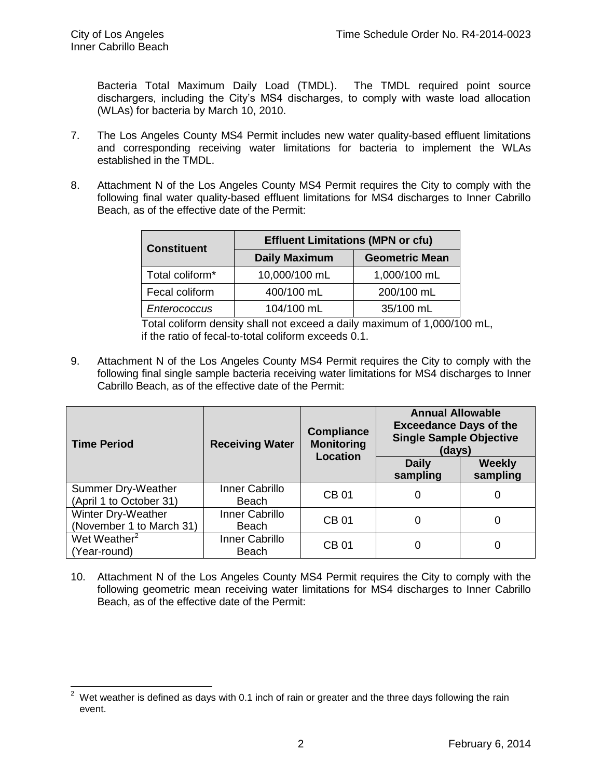Bacteria Total Maximum Daily Load (TMDL). The TMDL required point source dischargers, including the City's MS4 discharges, to comply with waste load allocation (WLAs) for bacteria by March 10, 2010.

- 7. The Los Angeles County MS4 Permit includes new water quality-based effluent limitations and corresponding receiving water limitations for bacteria to implement the WLAs established in the TMDL.
- 8. Attachment N of the Los Angeles County MS4 Permit requires the City to comply with the following final water quality-based effluent limitations for MS4 discharges to Inner Cabrillo Beach, as of the effective date of the Permit:

| <b>Constituent</b> | <b>Effluent Limitations (MPN or cfu)</b> |                       |  |
|--------------------|------------------------------------------|-----------------------|--|
|                    | <b>Daily Maximum</b>                     | <b>Geometric Mean</b> |  |
| Total coliform*    | 10,000/100 mL                            | 1,000/100 mL          |  |
| Fecal coliform     | 400/100 mL                               | 200/100 mL            |  |
| Enterococcus       | 104/100 mL                               | 35/100 mL             |  |

Total coliform density shall not exceed a daily maximum of 1,000/100 mL, if the ratio of fecal-to-total coliform exceeds 0.1.

9. Attachment N of the Los Angeles County MS4 Permit requires the City to comply with the following final single sample bacteria receiving water limitations for MS4 discharges to Inner Cabrillo Beach, as of the effective date of the Permit:

| <b>Time Period</b>                             | <b>Receiving Water</b>  | <b>Compliance</b><br><b>Monitoring</b><br><b>Location</b> | <b>Annual Allowable</b><br><b>Exceedance Days of the</b><br><b>Single Sample Objective</b><br>(days) |                           |
|------------------------------------------------|-------------------------|-----------------------------------------------------------|------------------------------------------------------------------------------------------------------|---------------------------|
|                                                |                         |                                                           | <b>Daily</b><br>sampling                                                                             | <b>Weekly</b><br>sampling |
| Summer Dry-Weather<br>(April 1 to October 31)  | Inner Cabrillo<br>Beach | CB 01                                                     | 0                                                                                                    | 0                         |
| Winter Dry-Weather<br>(November 1 to March 31) | Inner Cabrillo<br>Beach | <b>CB01</b>                                               | 0                                                                                                    | 0                         |
| Wet Weather <sup>2</sup><br>(Year-round)       | Inner Cabrillo<br>Beach | <b>CB01</b>                                               | 0                                                                                                    | 0                         |

10. Attachment N of the Los Angeles County MS4 Permit requires the City to comply with the following geometric mean receiving water limitations for MS4 discharges to Inner Cabrillo Beach, as of the effective date of the Permit:

 $\overline{a}$  $2\,$  Wet weather is defined as days with 0.1 inch of rain or greater and the three days following the rain event.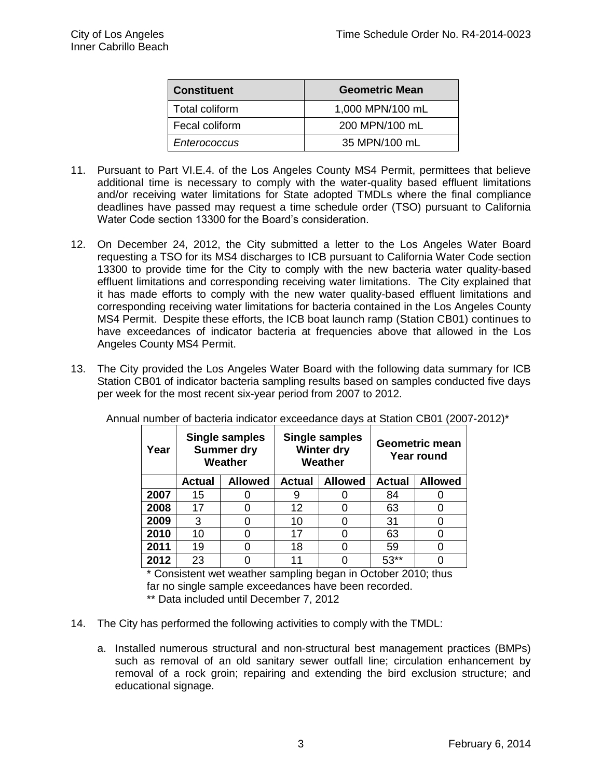| <b>Constituent</b> | <b>Geometric Mean</b> |
|--------------------|-----------------------|
| Total coliform     | 1,000 MPN/100 mL      |
| Fecal coliform     | 200 MPN/100 mL        |
| Enterococcus       | 35 MPN/100 mL         |

- 11. Pursuant to Part VI.E.4. of the Los Angeles County MS4 Permit, permittees that believe additional time is necessary to comply with the water-quality based effluent limitations and/or receiving water limitations for State adopted TMDLs where the final compliance deadlines have passed may request a time schedule order (TSO) pursuant to California Water Code section 13300 for the Board's consideration.
- 12. On December 24, 2012, the City submitted a letter to the Los Angeles Water Board requesting a TSO for its MS4 discharges to ICB pursuant to California Water Code section 13300 to provide time for the City to comply with the new bacteria water quality-based effluent limitations and corresponding receiving water limitations. The City explained that it has made efforts to comply with the new water quality-based effluent limitations and corresponding receiving water limitations for bacteria contained in the Los Angeles County MS4 Permit. Despite these efforts, the ICB boat launch ramp (Station CB01) continues to have exceedances of indicator bacteria at frequencies above that allowed in the Los Angeles County MS4 Permit.
- 13. The City provided the Los Angeles Water Board with the following data summary for ICB Station CB01 of indicator bacteria sampling results based on samples conducted five days per week for the most recent six-year period from 2007 to 2012.

| Year |               | <b>Single samples</b><br><b>Summer dry</b><br>Weather |               | <b>Single samples</b><br>Winter dry<br>Weather |               | <b>Geometric mean</b><br><b>Year round</b> |
|------|---------------|-------------------------------------------------------|---------------|------------------------------------------------|---------------|--------------------------------------------|
|      | <b>Actual</b> | <b>Allowed</b>                                        | <b>Actual</b> | <b>Allowed</b>                                 | <b>Actual</b> | <b>Allowed</b>                             |
| 2007 | 15            |                                                       |               |                                                | 84            |                                            |
| 2008 | 17            |                                                       | 12            |                                                | 63            |                                            |
| 2009 | 3             | O                                                     | 10            |                                                | 31            |                                            |
| 2010 | 10            |                                                       | 17            |                                                | 63            |                                            |
| 2011 | 19            | በ                                                     | 18            |                                                | 59            |                                            |
| 2012 | 23            |                                                       | 11            |                                                | $53**$        |                                            |

Annual number of bacteria indicator exceedance days at Station CB01 (2007-2012)\*

\* Consistent wet weather sampling began in October 2010; thus far no single sample exceedances have been recorded.

\*\* Data included until December 7, 2012

- 14. The City has performed the following activities to comply with the TMDL:
	- a. Installed numerous structural and non-structural best management practices (BMPs) such as removal of an old sanitary sewer outfall line; circulation enhancement by removal of a rock groin; repairing and extending the bird exclusion structure; and educational signage.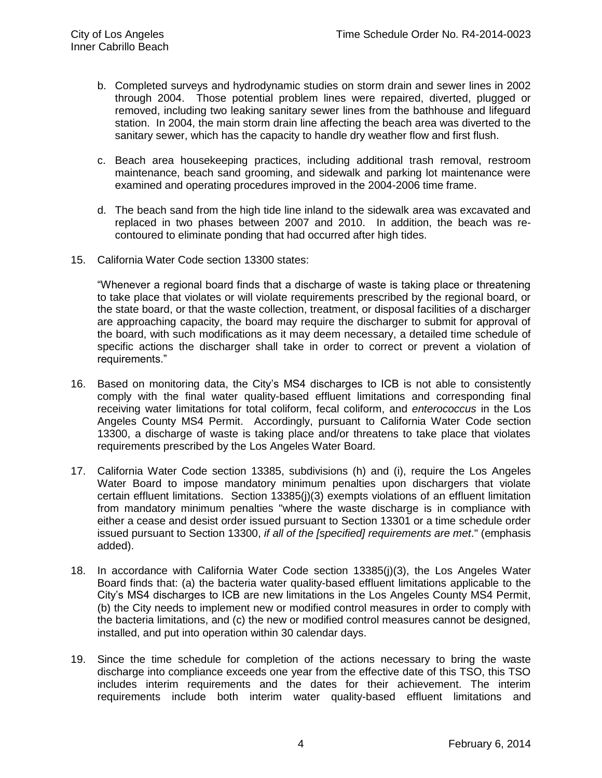- b. Completed surveys and hydrodynamic studies on storm drain and sewer lines in 2002 through 2004. Those potential problem lines were repaired, diverted, plugged or removed, including two leaking sanitary sewer lines from the bathhouse and lifeguard station. In 2004, the main storm drain line affecting the beach area was diverted to the sanitary sewer, which has the capacity to handle dry weather flow and first flush.
- c. Beach area housekeeping practices, including additional trash removal, restroom maintenance, beach sand grooming, and sidewalk and parking lot maintenance were examined and operating procedures improved in the 2004-2006 time frame.
- d. The beach sand from the high tide line inland to the sidewalk area was excavated and replaced in two phases between 2007 and 2010. In addition, the beach was recontoured to eliminate ponding that had occurred after high tides.
- 15. California Water Code section 13300 states:

"Whenever a regional board finds that a discharge of waste is taking place or threatening to take place that violates or will violate requirements prescribed by the regional board, or the state board, or that the waste collection, treatment, or disposal facilities of a discharger are approaching capacity, the board may require the discharger to submit for approval of the board, with such modifications as it may deem necessary, a detailed time schedule of specific actions the discharger shall take in order to correct or prevent a violation of requirements."

- 16. Based on monitoring data, the City's MS4 discharges to ICB is not able to consistently comply with the final water quality-based effluent limitations and corresponding final receiving water limitations for total coliform, fecal coliform, and *enterococcus* in the Los Angeles County MS4 Permit. Accordingly, pursuant to California Water Code section 13300, a discharge of waste is taking place and/or threatens to take place that violates requirements prescribed by the Los Angeles Water Board.
- 17. California Water Code section 13385, subdivisions (h) and (i), require the Los Angeles Water Board to impose mandatory minimum penalties upon dischargers that violate certain effluent limitations. Section 13385(j)(3) exempts violations of an effluent limitation from mandatory minimum penalties "where the waste discharge is in compliance with either a cease and desist order issued pursuant to Section 13301 or a time schedule order issued pursuant to Section 13300, *if all of the [specified] requirements are met*." (emphasis added).
- 18. In accordance with California Water Code section 13385(j)(3), the Los Angeles Water Board finds that: (a) the bacteria water quality-based effluent limitations applicable to the City's MS4 discharges to ICB are new limitations in the Los Angeles County MS4 Permit, (b) the City needs to implement new or modified control measures in order to comply with the bacteria limitations, and (c) the new or modified control measures cannot be designed, installed, and put into operation within 30 calendar days.
- 19. Since the time schedule for completion of the actions necessary to bring the waste discharge into compliance exceeds one year from the effective date of this TSO, this TSO includes interim requirements and the dates for their achievement. The interim requirements include both interim water quality-based effluent limitations and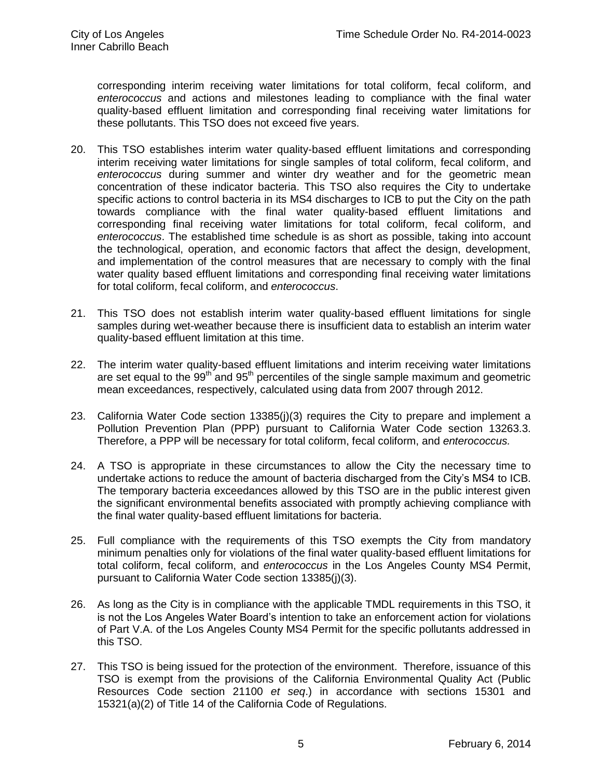corresponding interim receiving water limitations for total coliform, fecal coliform, and *enterococcus* and actions and milestones leading to compliance with the final water quality-based effluent limitation and corresponding final receiving water limitations for these pollutants. This TSO does not exceed five years.

- 20. This TSO establishes interim water quality-based effluent limitations and corresponding interim receiving water limitations for single samples of total coliform, fecal coliform, and *enterococcus* during summer and winter dry weather and for the geometric mean concentration of these indicator bacteria. This TSO also requires the City to undertake specific actions to control bacteria in its MS4 discharges to ICB to put the City on the path towards compliance with the final water quality-based effluent limitations and corresponding final receiving water limitations for total coliform, fecal coliform, and *enterococcus*. The established time schedule is as short as possible, taking into account the technological, operation, and economic factors that affect the design, development, and implementation of the control measures that are necessary to comply with the final water quality based effluent limitations and corresponding final receiving water limitations for total coliform, fecal coliform, and *enterococcus*.
- 21. This TSO does not establish interim water quality-based effluent limitations for single samples during wet-weather because there is insufficient data to establish an interim water quality-based effluent limitation at this time.
- 22. The interim water quality-based effluent limitations and interim receiving water limitations are set equal to the  $99<sup>th</sup>$  and  $95<sup>th</sup>$  percentiles of the single sample maximum and geometric mean exceedances, respectively, calculated using data from 2007 through 2012.
- 23. California Water Code section 13385(j)(3) requires the City to prepare and implement a Pollution Prevention Plan (PPP) pursuant to California Water Code section 13263.3. Therefore, a PPP will be necessary for total coliform, fecal coliform, and *enterococcus.*
- 24. A TSO is appropriate in these circumstances to allow the City the necessary time to undertake actions to reduce the amount of bacteria discharged from the City's MS4 to ICB. The temporary bacteria exceedances allowed by this TSO are in the public interest given the significant environmental benefits associated with promptly achieving compliance with the final water quality-based effluent limitations for bacteria.
- 25. Full compliance with the requirements of this TSO exempts the City from mandatory minimum penalties only for violations of the final water quality-based effluent limitations for total coliform, fecal coliform, and *enterococcus* in the Los Angeles County MS4 Permit, pursuant to California Water Code section 13385(j)(3).
- 26. As long as the City is in compliance with the applicable TMDL requirements in this TSO, it is not the Los Angeles Water Board's intention to take an enforcement action for violations of Part V.A. of the Los Angeles County MS4 Permit for the specific pollutants addressed in this TSO.
- 27. This TSO is being issued for the protection of the environment. Therefore, issuance of this TSO is exempt from the provisions of the California Environmental Quality Act (Public Resources Code section 21100 *et seq*.) in accordance with sections 15301 and 15321(a)(2) of Title 14 of the California Code of Regulations.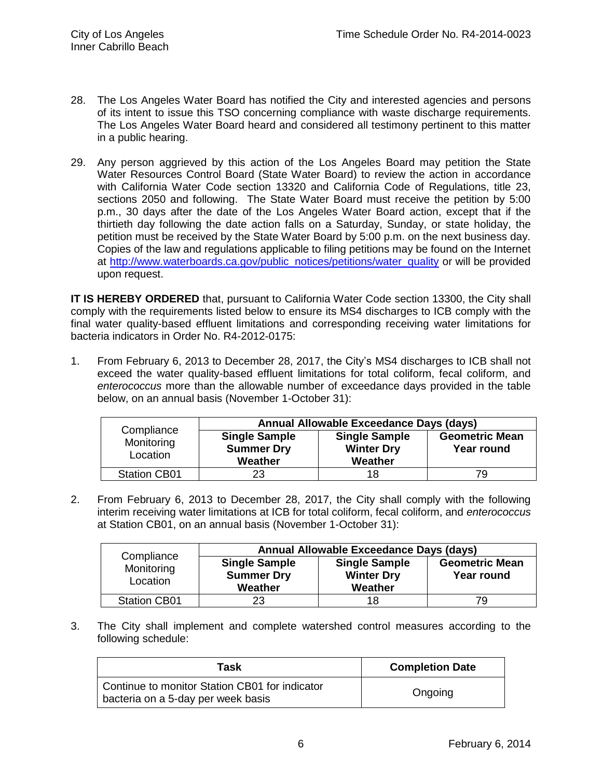- 28. The Los Angeles Water Board has notified the City and interested agencies and persons of its intent to issue this TSO concerning compliance with waste discharge requirements. The Los Angeles Water Board heard and considered all testimony pertinent to this matter in a public hearing.
- 29. Any person aggrieved by this action of the Los Angeles Board may petition the State Water Resources Control Board (State Water Board) to review the action in accordance with California Water Code section 13320 and California Code of Regulations, title 23, sections 2050 and following. The State Water Board must receive the petition by 5:00 p.m., 30 days after the date of the Los Angeles Water Board action, except that if the thirtieth day following the date action falls on a Saturday, Sunday, or state holiday, the petition must be received by the State Water Board by 5:00 p.m. on the next business day. Copies of the law and regulations applicable to filing petitions may be found on the Internet at [http://www.waterboards.ca.gov/public\\_notices/petitions/water\\_quality](http://www.waterboards.ca.gov/public_notices/petitions/water_quality) or will be provided upon request.

**IT IS HEREBY ORDERED** that, pursuant to California Water Code section 13300, the City shall comply with the requirements listed below to ensure its MS4 discharges to ICB comply with the final water quality-based effluent limitations and corresponding receiving water limitations for bacteria indicators in Order No. R4-2012-0175:

1. From February 6, 2013 to December 28, 2017, the City's MS4 discharges to ICB shall not exceed the water quality-based effluent limitations for total coliform, fecal coliform, and *enterococcus* more than the allowable number of exceedance days provided in the table below, on an annual basis (November 1-October 31):

| Compliance             | Annual Allowable Exceedance Days (days)              |                                                      |                                     |  |
|------------------------|------------------------------------------------------|------------------------------------------------------|-------------------------------------|--|
| Monitoring<br>Location | <b>Single Sample</b><br><b>Summer Dry</b><br>Weather | <b>Single Sample</b><br><b>Winter Dry</b><br>Weather | <b>Geometric Mean</b><br>Year round |  |
| <b>Station CB01</b>    | 23                                                   | 18                                                   | 79                                  |  |

2. From February 6, 2013 to December 28, 2017, the City shall comply with the following interim receiving water limitations at ICB for total coliform, fecal coliform, and *enterococcus* at Station CB01, on an annual basis (November 1-October 31):

|                                      | Annual Allowable Exceedance Days (days)              |                                                      |                                     |  |
|--------------------------------------|------------------------------------------------------|------------------------------------------------------|-------------------------------------|--|
| Compliance<br>Monitoring<br>Location | <b>Single Sample</b><br><b>Summer Dry</b><br>Weather | <b>Single Sample</b><br><b>Winter Dry</b><br>Weather | <b>Geometric Mean</b><br>Year round |  |
| <b>Station CB01</b>                  | 23                                                   | 18                                                   | 79                                  |  |

3. The City shall implement and complete watershed control measures according to the following schedule:

| Task                                                                                 | <b>Completion Date</b> |
|--------------------------------------------------------------------------------------|------------------------|
| Continue to monitor Station CB01 for indicator<br>bacteria on a 5-day per week basis | Ongoing                |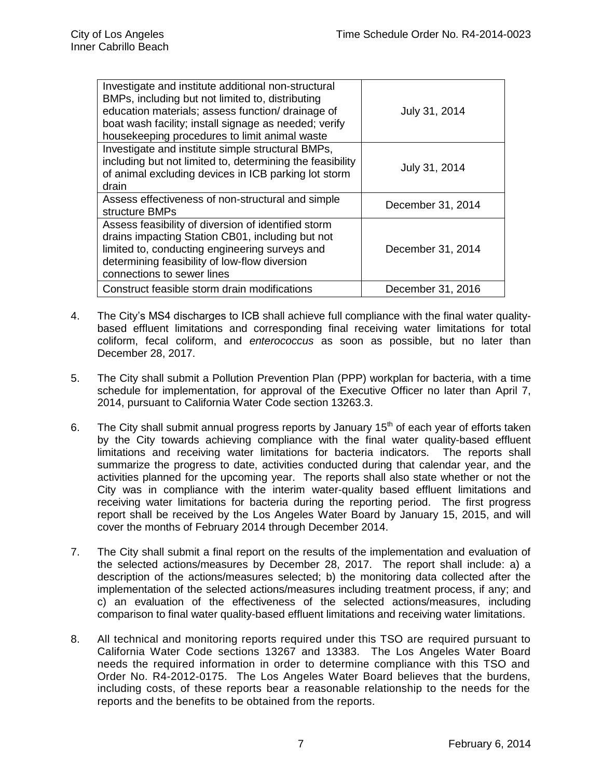| Investigate and institute additional non-structural<br>BMPs, including but not limited to, distributing<br>education materials; assess function/ drainage of<br>boat wash facility; install signage as needed; verify<br>housekeeping procedures to limit animal waste | July 31, 2014     |
|------------------------------------------------------------------------------------------------------------------------------------------------------------------------------------------------------------------------------------------------------------------------|-------------------|
| Investigate and institute simple structural BMPs,<br>including but not limited to, determining the feasibility<br>of animal excluding devices in ICB parking lot storm<br>drain                                                                                        | July 31, 2014     |
| Assess effectiveness of non-structural and simple<br>structure BMPs                                                                                                                                                                                                    | December 31, 2014 |
| Assess feasibility of diversion of identified storm<br>drains impacting Station CB01, including but not<br>limited to, conducting engineering surveys and<br>determining feasibility of low-flow diversion<br>connections to sewer lines                               | December 31, 2014 |
| Construct feasible storm drain modifications                                                                                                                                                                                                                           | December 31, 2016 |

- 4. The City's MS4 discharges to ICB shall achieve full compliance with the final water qualitybased effluent limitations and corresponding final receiving water limitations for total coliform, fecal coliform, and *enterococcus* as soon as possible, but no later than December 28, 2017.
- 5. The City shall submit a Pollution Prevention Plan (PPP) workplan for bacteria, with a time schedule for implementation, for approval of the Executive Officer no later than April 7, 2014, pursuant to California Water Code section 13263.3.
- 6. The City shall submit annual progress reports by January  $15<sup>th</sup>$  of each year of efforts taken by the City towards achieving compliance with the final water quality-based effluent limitations and receiving water limitations for bacteria indicators. The reports shall summarize the progress to date, activities conducted during that calendar year, and the activities planned for the upcoming year. The reports shall also state whether or not the City was in compliance with the interim water-quality based effluent limitations and receiving water limitations for bacteria during the reporting period. The first progress report shall be received by the Los Angeles Water Board by January 15, 2015, and will cover the months of February 2014 through December 2014.
- 7. The City shall submit a final report on the results of the implementation and evaluation of the selected actions/measures by December 28, 2017. The report shall include: a) a description of the actions/measures selected; b) the monitoring data collected after the implementation of the selected actions/measures including treatment process, if any; and c) an evaluation of the effectiveness of the selected actions/measures, including comparison to final water quality-based effluent limitations and receiving water limitations.
- 8. All technical and monitoring reports required under this TSO are required pursuant to California Water Code sections 13267 and 13383. The Los Angeles Water Board needs the required information in order to determine compliance with this TSO and Order No. R4-2012-0175. The Los Angeles Water Board believes that the burdens, including costs, of these reports bear a reasonable relationship to the needs for the reports and the benefits to be obtained from the reports.